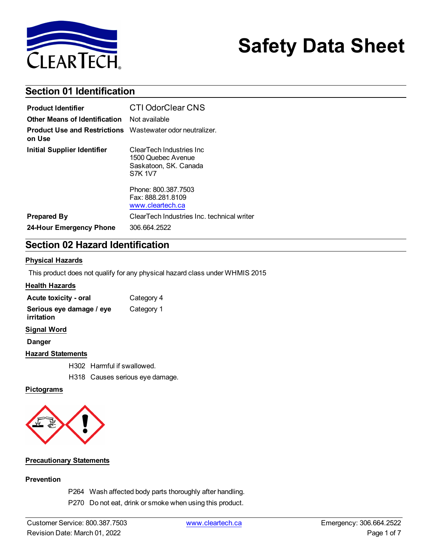

# **Safety Data Sheet**

## **Section 01 Identification**

| <b>Product Identifier</b>                                                  | <b>CTI OdorClear CNS</b>                                                                   |
|----------------------------------------------------------------------------|--------------------------------------------------------------------------------------------|
| Other Means of Identification                                              | Not available                                                                              |
| <b>Product Use and Restrictions</b> Wastewater odor neutralizer.<br>on Use |                                                                                            |
| <b>Initial Supplier Identifier</b>                                         | ClearTech Industries Inc.<br>1500 Quebec Avenue<br>Saskatoon, SK. Canada<br><b>S7K 1V7</b> |
|                                                                            | Phone: 800.387.7503<br>Fax: 888.281.8109<br>www.cleartech.ca                               |
| <b>Prepared By</b>                                                         | ClearTech Industries Inc. technical writer                                                 |
| 24-Hour Emergency Phone                                                    | 306.664.2522                                                                               |

## **Section 02 Hazard Identification**

#### **Physical Hazards**

This product does not qualify for any physical hazard class under WHMIS 2015

#### **Health Hazards**

| Acute toxicity - oral                  | Category 4 |
|----------------------------------------|------------|
| Serious eye damage / eye<br>irritation | Category 1 |
| <b>Signal Word</b>                     |            |
| <b>Danger</b>                          |            |
| <b>Hazard Statements</b>               |            |
| H302 Harmful if swallowed.             |            |

H318 Causes serious eye damage.

#### **Pictograms**



#### **Precautionary Statements**

#### **Prevention**

P264 Wash affected body parts thoroughly after handling.

P270 Do not eat, drink or smoke when using this product.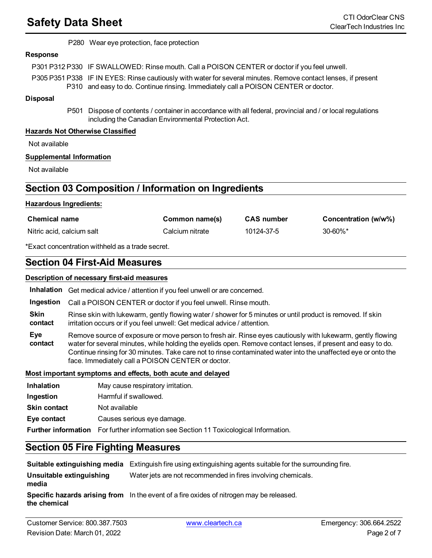P280 Wear eye protection, face protection

#### **Response**

P301 P312 P330 IF SWALLOWED: Rinse mouth. Call a POISON CENTER or doctor if you feel unwell.

P305 P351 P338 IF IN EYES: Rinse cautiously with water for several minutes. Remove contact lenses, if present P310 and easy to do. Continue rinsing. Immediately call a POISON CENTER or doctor.

#### **Disposal**

P501 Dispose of contents / container in accordance with all federal, provincial and / or local regulations including the Canadian Environmental Protection Act.

#### **Hazards Not Otherwise Classified**

Not available

#### **Supplemental Information**

Not available

## **Section 03 Composition / Information on Ingredients**

#### **Hazardous Ingredients:**

| <b>Chemical name</b>      | Common name(s)  | <b>CAS</b> number | Concentration (w/w%) |
|---------------------------|-----------------|-------------------|----------------------|
| Nitric acid, calcium salt | Calcium nitrate | 10124-37-5        | 30-60%*              |

\*Exact concentration withheld as a trade secret.

### **Section 04 First-Aid Measures**

#### **Description of necessary first-aid measures**

**Inhalation** Get medical advice / attention if you feel unwell or are concerned.

**Ingestion** Call a POISON CENTER or doctor if you feel unwell. Rinse mouth.

**Skin contact** Rinse skin with lukewarm, gently flowing water / shower for 5 minutes or until product is removed. If skin irritation occurs or if you feel unwell: Get medical advice / attention.

**Eye contact** Remove source of exposure or move person to fresh air. Rinse eyes cautiously with lukewarm, gently flowing water for several minutes, while holding the eyelids open. Remove contact lenses, if present and easy to do. Continue rinsing for 30 minutes. Take care not to rinse contaminated water into the unaffected eye or onto the face. Immediately call a POISON CENTER or doctor.

#### **Most important symptoms and effects, both acute and delayed**

| <b>Inhalation</b>   | May cause respiratory irritation.                                                     |
|---------------------|---------------------------------------------------------------------------------------|
| Ingestion           | Harmful if swallowed.                                                                 |
| <b>Skin contact</b> | Not available                                                                         |
| Eye contact         | Causes serious eye damage.                                                            |
|                     | Further information For further information see Section 11 Toxicological Information. |

## **Section 05 Fire Fighting Measures**

**Suitable extinguishing media** Extinguish fire using extinguishing agents suitable for the surrounding fire. **Unsuitable extinguishing media** Water jets are not recommended in fires involving chemicals. **Specific hazards arising from** In the event of a fire oxides of nitrogen may be released.**the chemical**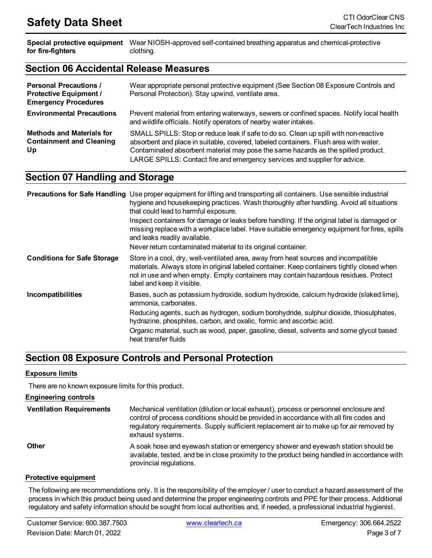**Special protective equipment** Wear NIOSH-approved self-contained breathing apparatus and chemical-protective **for fire-fighters** clothing.

### **Section 06 Accidental Release Measures**

| <b>Personal Precautions /</b><br><b>Protective Equipment /</b><br><b>Emergency Procedures</b> | Wear appropriate personal protective equipment (See Section 08 Exposure Controls and<br>Personal Protection). Stay upwind, ventilate area.                                                                                                                                                                                                      |
|-----------------------------------------------------------------------------------------------|-------------------------------------------------------------------------------------------------------------------------------------------------------------------------------------------------------------------------------------------------------------------------------------------------------------------------------------------------|
| <b>Environmental Precautions</b>                                                              | Prevent material from entering waterways, sewers or confined spaces. Notify local health<br>and wildlife officials. Notify operators of nearby water intakes.                                                                                                                                                                                   |
| <b>Methods and Materials for</b><br><b>Containment and Cleaning</b><br>Up                     | SMALL SPILLS: Stop or reduce leak if safe to do so. Clean up spill with non-reactive<br>absorbent and place in suitable, covered, labeled containers. Flush area with water.<br>Contaminated absorbent material may pose the same hazards as the spilled product.<br>LARGE SPILLS: Contact fire and emergency services and supplier for advice. |

## **Section 07 Handling and Storage**

|                                    | <b>Precautions for Safe Handling</b> Use proper equipment for lifting and transporting all containers. Use sensible industrial<br>hygiene and housekeeping practices. Wash thoroughly after handling. Avoid all situations<br>that could lead to harmful exposure.                                     |
|------------------------------------|--------------------------------------------------------------------------------------------------------------------------------------------------------------------------------------------------------------------------------------------------------------------------------------------------------|
|                                    | Inspect containers for damage or leaks before handling. If the original label is damaged or<br>missing replace with a workplace label. Have suitable emergency equipment for fires, spills<br>and leaks readily available.                                                                             |
|                                    | Never return contaminated material to its original container.                                                                                                                                                                                                                                          |
| <b>Conditions for Safe Storage</b> | Store in a cool, dry, well-ventilated area, away from heat sources and incompatible<br>materials. Always store in original labeled container. Keep containers tightly closed when<br>not in use and when empty. Empty containers may contain hazardous residues. Protect<br>label and keep it visible. |
| Incompatibilities                  | Bases, such as potassium hydroxide, sodium hydroxide, calcium hydroxide (slaked lime),<br>ammonia, carbonates.                                                                                                                                                                                         |
|                                    | Reducing agents, such as hydrogen, sodium borohydride, sulphur dioxide, thiosulphates,<br>hydrazine, phosphites, carbon, and oxalic, formic and ascorbic acid.                                                                                                                                         |
|                                    | Organic material, such as wood, paper, gasoline, diesel, solvents and some glycol based<br>heat transfer fluids                                                                                                                                                                                        |

## **Section 08 Exposure Controls and Personal Protection**

#### **Exposure limits**

There are no known exposure limits for this product.

#### **Engineering controls**

| <b>Ventilation Requirements</b> | Mechanical ventilation (dilution or local exhaust), process or personnel enclosure and<br>control of process conditions should be provided in accordance with all fire codes and<br>regulatory requirements. Supply sufficient replacement air to make up for air removed by<br>exhaust systems. |
|---------------------------------|--------------------------------------------------------------------------------------------------------------------------------------------------------------------------------------------------------------------------------------------------------------------------------------------------|
| <b>Other</b>                    | A soak hose and eyewash station or emergency shower and eyewash station should be<br>available, tested, and be in close proximity to the product being handled in accordance with<br>provincial regulations.                                                                                     |

#### **Protective equipment**

The following are recommendations only. It is the responsibility of the employer / user to conduct a hazard assessment of the process in which this product being used and determine the proper engineering controls and PPE for their process. Additional regulatory and safety information should be sought from local authorities and, if needed, a professional industrial hygienist.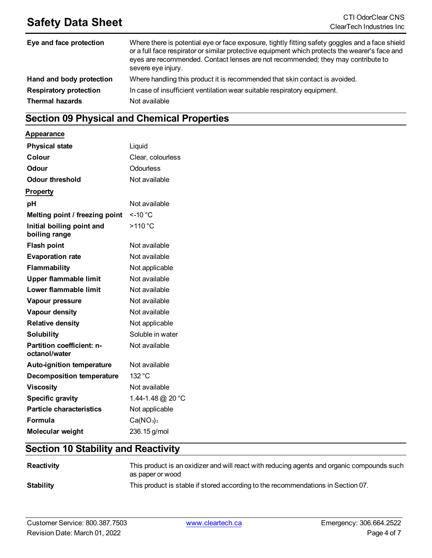| Eye and face protection       | Where there is potential eye or face exposure, tightly fitting safety goggles and a face shield<br>or a full face respirator or similar protective equipment which protects the wearer's face and<br>eyes are recommended. Contact lenses are not recommended; they may contribute to<br>severe eye injury. |
|-------------------------------|-------------------------------------------------------------------------------------------------------------------------------------------------------------------------------------------------------------------------------------------------------------------------------------------------------------|
| Hand and body protection      | Where handling this product it is recommended that skin contact is avoided.                                                                                                                                                                                                                                 |
| <b>Respiratory protection</b> | In case of insufficient ventilation wear suitable respiratory equipment.                                                                                                                                                                                                                                    |
| <b>Thermal hazards</b>        | Not available                                                                                                                                                                                                                                                                                               |

## **Section 09 Physical and Chemical Properties**

#### **Appearance**

| <b>Physical state</b>                      | Liquid                            |
|--------------------------------------------|-----------------------------------|
| Colour                                     | Clear, colourless                 |
| <b>Odour</b>                               | <b>Odourless</b>                  |
| <b>Odour threshold</b>                     | Not available                     |
| <b>Property</b>                            |                                   |
| pH                                         | Not available                     |
| Melting point / freezing point             | $<$ -10 $^{\circ}$ C              |
| Initial boiling point and<br>boiling range | >110 °C                           |
| <b>Flash point</b>                         | Not available                     |
| <b>Evaporation rate</b>                    | Not available                     |
| <b>Flammability</b>                        | Not applicable                    |
| Upper flammable limit                      | Not available                     |
| Lower flammable limit                      | Not available                     |
| Vapour pressure                            | Not available                     |
| Vapour density                             | Not available                     |
| <b>Relative density</b>                    | Not applicable                    |
| <b>Solubility</b>                          | Soluble in water                  |
| Partition coefficient: n-<br>octanol/water | Not available                     |
| Auto-ignition temperature                  | Not available                     |
| <b>Decomposition temperature</b>           | 132 °C                            |
| <b>Viscosity</b>                           | Not available                     |
| <b>Specific gravity</b>                    | 1.44-1.48 @ 20 °C                 |
| <b>Particle characteristics</b>            | Not applicable                    |
| Formula                                    | Ca(NO <sub>3</sub> ) <sub>2</sub> |
| Molecular weight                           | 236.15 g/mol                      |

## **Section 10 Stability and Reactivity**

| Reactivity       | This product is an oxidizer and will react with reducing agents and organic compounds such<br>as paper or wood |
|------------------|----------------------------------------------------------------------------------------------------------------|
| <b>Stability</b> | This product is stable if stored according to the recommendations in Section 07.                               |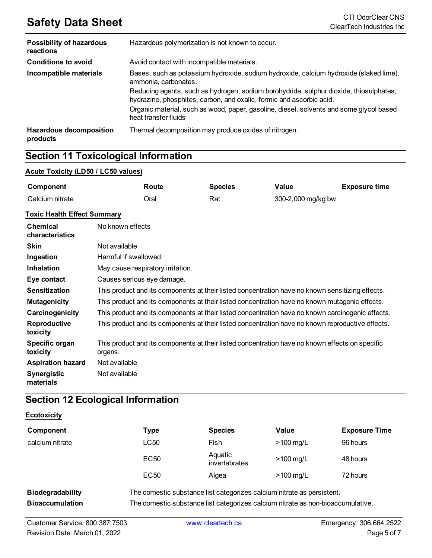| <b>Possibility of hazardous</b><br>reactions | Hazardous polymerization is not known to occur.                                                                                                                |
|----------------------------------------------|----------------------------------------------------------------------------------------------------------------------------------------------------------------|
| <b>Conditions to avoid</b>                   | Avoid contact with incompatible materials.                                                                                                                     |
| Incompatible materials                       | Bases, such as potassium hydroxide, sodium hydroxide, calcium hydroxide (slaked lime),<br>ammonia, carbonates.                                                 |
|                                              | Reducing agents, such as hydrogen, sodium borohydride, sulphur dioxide, thiosulphates,<br>hydrazine, phosphites, carbon, and oxalic, formic and ascorbic acid. |
|                                              | Organic material, such as wood, paper, gasoline, diesel, solvents and some glycol based<br>heat transfer fluids                                                |
| <b>Hazardous decomposition</b><br>products   | Thermal decomposition may produce oxides of nitrogen.                                                                                                          |

## **Section 11 Toxicological Information**

#### **Acute Toxicity (LD50 / LC50 values)**

| Component       | Route | <b>Species</b> | Value              | <b>Exposure time</b> |
|-----------------|-------|----------------|--------------------|----------------------|
| Calcium nitrate | Oral  | Rat            | 300-2,000 mg/kg bw |                      |

#### **Toxic Health Effect Summary**

| <b>Chemical</b><br>characteristics | No known effects                                                                                           |
|------------------------------------|------------------------------------------------------------------------------------------------------------|
| <b>Skin</b>                        | Not available                                                                                              |
| Ingestion                          | Harmful if swallowed.                                                                                      |
| <b>Inhalation</b>                  | May cause respiratory irritation.                                                                          |
| Eye contact                        | Causes serious eye damage.                                                                                 |
| <b>Sensitization</b>               | This product and its components at their listed concentration have no known sensitizing effects.           |
| <b>Mutagenicity</b>                | This product and its components at their listed concentration have no known mutagenic effects.             |
| Carcinogenicity                    | This product and its components at their listed concentration have no known carcinogenic effects.          |
| Reproductive<br>toxicity           | This product and its components at their listed concentration have no known reproductive effects.          |
| Specific organ<br>toxicity         | This product and its components at their listed concentration have no known effects on specific<br>organs. |
| <b>Aspiration hazard</b>           | Not available                                                                                              |
| <b>Synergistic</b><br>materials    | Not available                                                                                              |

## **Section 12 Ecological Information**

#### **Ecotoxicity**

| Component               | Type                                                                   | <b>Species</b>           | Value       | <b>Exposure Time</b> |
|-------------------------|------------------------------------------------------------------------|--------------------------|-------------|----------------------|
| calcium nitrate         | LC50                                                                   | Fish                     | $>100$ mg/L | 96 hours             |
|                         | EC50                                                                   | Aquatic<br>invertabrates | $>100$ mg/L | 48 hours             |
|                         | EC <sub>50</sub>                                                       | Algea                    | $>100$ mg/L | 72 hours             |
| <b>Biodegradability</b> | The domestic substance list categorizes calcium nitrate as persistent. |                          |             |                      |

**Bioaccumulation** The domestic substance list categorizes calcium nitrate as non-bioaccumulative.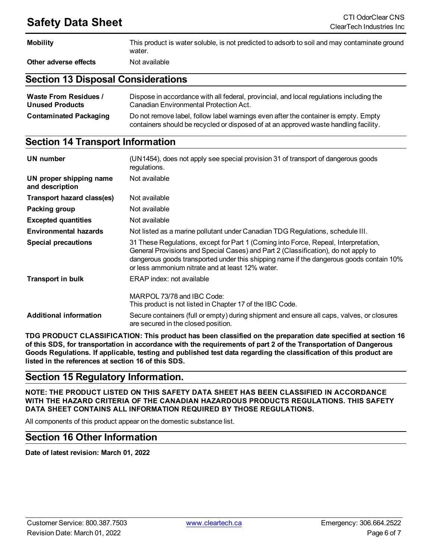| <b>Mobility</b>       | This product is water soluble, is not predicted to adsorb to soil and may contaminate ground<br>water. |
|-----------------------|--------------------------------------------------------------------------------------------------------|
| Other adverse effects | Not available                                                                                          |

### **Section 13 Disposal Considerations**

| <b>Waste From Residues /</b>  | Dispose in accordance with all federal, provincial, and local regulations including the                                                                                     |
|-------------------------------|-----------------------------------------------------------------------------------------------------------------------------------------------------------------------------|
| <b>Unused Products</b>        | Canadian Environmental Protection Act.                                                                                                                                      |
| <b>Contaminated Packaging</b> | Do not remove label, follow label warnings even after the container is empty. Empty<br>containers should be recycled or disposed of at an approved waste handling facility. |

## **Section 14 Transport Information**

| UN number                                  | (UN1454), does not apply see special provision 31 of transport of dangerous goods<br>regulations.                                                                                                                                                                                                                        |
|--------------------------------------------|--------------------------------------------------------------------------------------------------------------------------------------------------------------------------------------------------------------------------------------------------------------------------------------------------------------------------|
| UN proper shipping name<br>and description | Not available                                                                                                                                                                                                                                                                                                            |
| Transport hazard class(es)                 | Not available                                                                                                                                                                                                                                                                                                            |
| Packing group                              | Not available                                                                                                                                                                                                                                                                                                            |
| <b>Excepted quantities</b>                 | Not available                                                                                                                                                                                                                                                                                                            |
| <b>Environmental hazards</b>               | Not listed as a marine pollutant under Canadian TDG Regulations, schedule III.                                                                                                                                                                                                                                           |
| <b>Special precautions</b>                 | 31 These Regulations, except for Part 1 (Coming into Force, Repeal, Interpretation,<br>General Provisions and Special Cases) and Part 2 (Classification), do not apply to<br>dangerous goods transported under this shipping name if the dangerous goods contain 10%<br>or less ammonium nitrate and at least 12% water. |
| <b>Transport in bulk</b>                   | ERAP index: not available                                                                                                                                                                                                                                                                                                |
|                                            | MARPOL 73/78 and IBC Code:<br>This product is not listed in Chapter 17 of the IBC Code.                                                                                                                                                                                                                                  |
| <b>Additional information</b>              | Secure containers (full or empty) during shipment and ensure all caps, valves, or closures<br>are secured in the closed position.                                                                                                                                                                                        |

**TDG PRODUCT CLASSIFICATION: This product has been classified on the preparation date specified at section 16** of this SDS, for transportation in accordance with the requirements of part 2 of the Transportation of Dangerous Goods Regulations. If applicable, testing and published test data regarding the classification of this product are **listed in the references at section 16 of this SDS.**

## **Section 15 Regulatory Information.**

**NOTE: THE PRODUCT LISTED ON THIS SAFETY DATA SHEET HAS BEEN CLASSIFIED IN ACCORDANCE WITH THE HAZARD CRITERIA OF THE CANADIAN HAZARDOUS PRODUCTS REGULATIONS. THIS SAFETY DATA SHEET CONTAINS ALL INFORMATION REQUIRED BY THOSE REGULATIONS.**

All components of this product appear on the domestic substance list.

### **Section 16 Other Information**

**Date of latest revision: March 01, 2022**